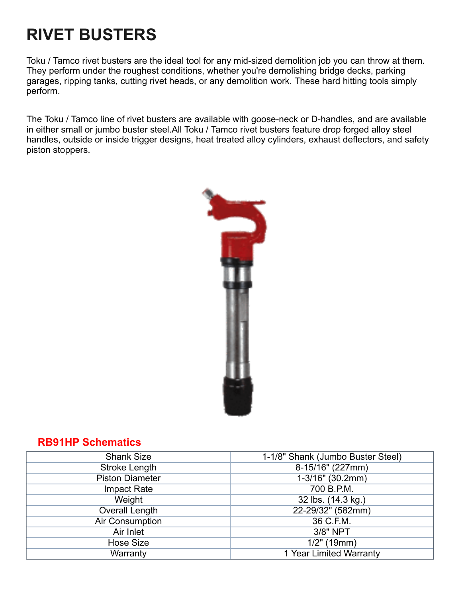# **RIVET BUSTERS**

Toku / Tamco rivet busters are the ideal tool for any mid-sized demolition job you can throw at them. They perform under the roughest conditions, whether you're demolishing bridge decks, parking garages, ripping tanks, cutting rivet heads, or any demolition work. These hard hitting tools simply perform.

The Toku / Tamco line of rivet busters are available with goose-neck or D-handles, and are available in either small or jumbo buster steel.All Toku / Tamco rivet busters feature drop forged alloy steel handles, outside or inside trigger designs, heat treated alloy cylinders, exhaust deflectors, and safety piston stoppers.



#### **RB91HP [Schematics](https://f.hubspotusercontent40.net/hubfs/2575198/RB91HP.pdf)**

| <b>Shank Size</b>      | 1-1/8" Shank (Jumbo Buster Steel) |
|------------------------|-----------------------------------|
| <b>Stroke Length</b>   | 8-15/16" (227mm)                  |
| <b>Piston Diameter</b> | 1-3/16" (30.2mm)                  |
| Impact Rate            | 700 B.P.M.                        |
| Weight                 | 32 lbs. (14.3 kg.)                |
| <b>Overall Length</b>  | 22-29/32" (582mm)                 |
| Air Consumption        | 36 C.F.M.                         |
| Air Inlet              | 3/8" NPT                          |
| <b>Hose Size</b>       | $1/2"$ (19mm)                     |
| Warranty               | 1 Year Limited Warranty           |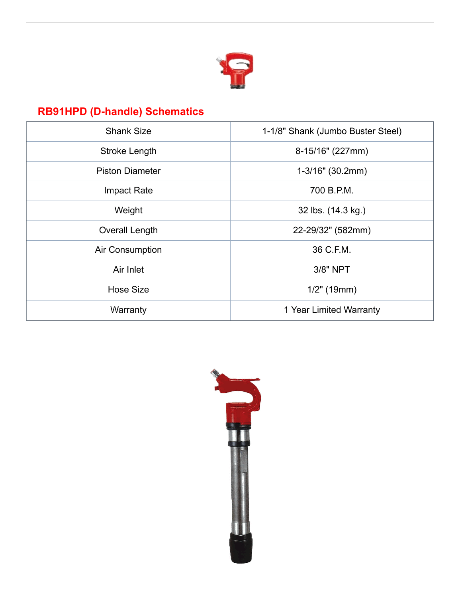

# **RB91HPD (D-handle) [Schematics](https://f.hubspotusercontent40.net/hubfs/2575198/RB91HPD.pdf)**

| <b>Shank Size</b>      | 1-1/8" Shank (Jumbo Buster Steel) |
|------------------------|-----------------------------------|
| Stroke Length          | 8-15/16" (227mm)                  |
| <b>Piston Diameter</b> | 1-3/16" (30.2mm)                  |
| <b>Impact Rate</b>     | 700 B.P.M.                        |
| Weight                 | 32 lbs. (14.3 kg.)                |
| Overall Length         | 22-29/32" (582mm)                 |
| Air Consumption        | 36 C.F.M.                         |
| Air Inlet              | 3/8" NPT                          |
| <b>Hose Size</b>       | $1/2"$ (19mm)                     |
| Warranty               | 1 Year Limited Warranty           |